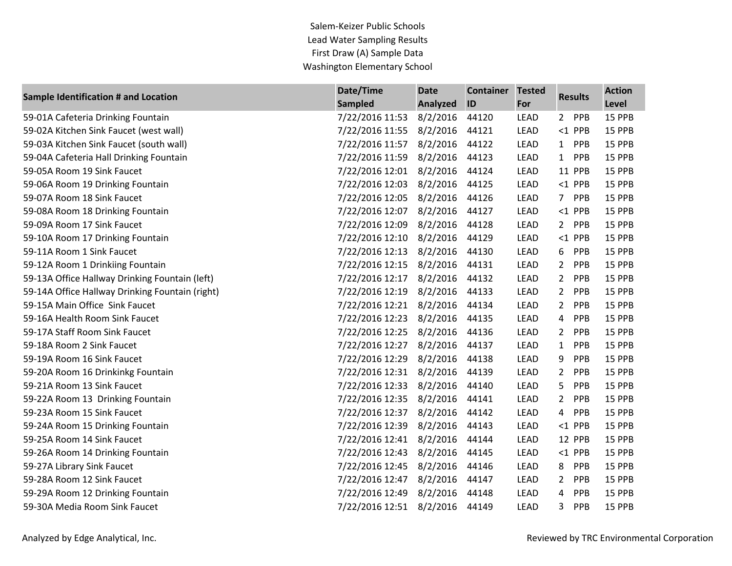Salem-Keizer Public Schools Lead Water Sampling Results First Draw (A) Sample Data Washington Elementary School

| <b>Sample Identification # and Location</b>     | Date/Time       | <b>Date</b> | <b>Container</b> | <b>Tested</b> | <b>Results</b>               | <b>Action</b> |
|-------------------------------------------------|-----------------|-------------|------------------|---------------|------------------------------|---------------|
|                                                 | Sampled         | Analyzed    | ID               | For           |                              | Level         |
| 59-01A Cafeteria Drinking Fountain              | 7/22/2016 11:53 | 8/2/2016    | 44120            | <b>LEAD</b>   | 2 PPB                        | 15 PPB        |
| 59-02A Kitchen Sink Faucet (west wall)          | 7/22/2016 11:55 | 8/2/2016    | 44121            | <b>LEAD</b>   | $<$ 1 PPB                    | 15 PPB        |
| 59-03A Kitchen Sink Faucet (south wall)         | 7/22/2016 11:57 | 8/2/2016    | 44122            | LEAD          | 1 PPB                        | 15 PPB        |
| 59-04A Cafeteria Hall Drinking Fountain         | 7/22/2016 11:59 | 8/2/2016    | 44123            | <b>LEAD</b>   | PPB<br>1                     | 15 PPB        |
| 59-05A Room 19 Sink Faucet                      | 7/22/2016 12:01 | 8/2/2016    | 44124            | LEAD          | 11 PPB                       | 15 PPB        |
| 59-06A Room 19 Drinking Fountain                | 7/22/2016 12:03 | 8/2/2016    | 44125            | LEAD          | $<$ 1 PPB                    | 15 PPB        |
| 59-07A Room 18 Sink Faucet                      | 7/22/2016 12:05 | 8/2/2016    | 44126            | <b>LEAD</b>   | 7 <sup>7</sup><br>PPB        | 15 PPB        |
| 59-08A Room 18 Drinking Fountain                | 7/22/2016 12:07 | 8/2/2016    | 44127            | LEAD          | $<$ 1 PPB                    | 15 PPB        |
| 59-09A Room 17 Sink Faucet                      | 7/22/2016 12:09 | 8/2/2016    | 44128            | <b>LEAD</b>   | PPB<br>$\mathbf{2}$          | 15 PPB        |
| 59-10A Room 17 Drinking Fountain                | 7/22/2016 12:10 | 8/2/2016    | 44129            | <b>LEAD</b>   | $<$ 1 PPB                    | 15 PPB        |
| 59-11A Room 1 Sink Faucet                       | 7/22/2016 12:13 | 8/2/2016    | 44130            | <b>LEAD</b>   | 6<br><b>PPB</b>              | 15 PPB        |
| 59-12A Room 1 Drinkiing Fountain                | 7/22/2016 12:15 | 8/2/2016    | 44131            | LEAD          | PPB<br>$2^{\circ}$           | 15 PPB        |
| 59-13A Office Hallway Drinking Fountain (left)  | 7/22/2016 12:17 | 8/2/2016    | 44132            | LEAD          | $\overline{2}$<br>PPB        | 15 PPB        |
| 59-14A Office Hallway Drinking Fountain (right) | 7/22/2016 12:19 | 8/2/2016    | 44133            | LEAD          | $\overline{2}$<br>PPB        | 15 PPB        |
| 59-15A Main Office Sink Faucet                  | 7/22/2016 12:21 | 8/2/2016    | 44134            | <b>LEAD</b>   | PPB<br>$2^{\circ}$           | 15 PPB        |
| 59-16A Health Room Sink Faucet                  | 7/22/2016 12:23 | 8/2/2016    | 44135            | LEAD          | PPB<br>$\overline{4}$        | 15 PPB        |
| 59-17A Staff Room Sink Faucet                   | 7/22/2016 12:25 | 8/2/2016    | 44136            | <b>LEAD</b>   | $2^{\circ}$<br>PPB           | 15 PPB        |
| 59-18A Room 2 Sink Faucet                       | 7/22/2016 12:27 | 8/2/2016    | 44137            | <b>LEAD</b>   | PPB<br>$\mathbf{1}$          | 15 PPB        |
| 59-19A Room 16 Sink Faucet                      | 7/22/2016 12:29 | 8/2/2016    | 44138            | <b>LEAD</b>   | <b>PPB</b><br>9              | 15 PPB        |
| 59-20A Room 16 Drinkinkg Fountain               | 7/22/2016 12:31 | 8/2/2016    | 44139            | <b>LEAD</b>   | $\mathbf{2}$<br>PPB          | 15 PPB        |
| 59-21A Room 13 Sink Faucet                      | 7/22/2016 12:33 | 8/2/2016    | 44140            | <b>LEAD</b>   | 5.<br>PPB                    | 15 PPB        |
| 59-22A Room 13 Drinking Fountain                | 7/22/2016 12:35 | 8/2/2016    | 44141            | LEAD          | $\mathbf{2}$<br>PPB          | 15 PPB        |
| 59-23A Room 15 Sink Faucet                      | 7/22/2016 12:37 | 8/2/2016    | 44142            | LEAD          | $\overline{4}$<br><b>PPB</b> | 15 PPB        |
| 59-24A Room 15 Drinking Fountain                | 7/22/2016 12:39 | 8/2/2016    | 44143            | LEAD          | $<$ 1 PPB                    | 15 PPB        |
| 59-25A Room 14 Sink Faucet                      | 7/22/2016 12:41 | 8/2/2016    | 44144            | LEAD          | 12 PPB                       | 15 PPB        |
| 59-26A Room 14 Drinking Fountain                | 7/22/2016 12:43 | 8/2/2016    | 44145            | <b>LEAD</b>   | $<$ 1 PPB                    | 15 PPB        |
| 59-27A Library Sink Faucet                      | 7/22/2016 12:45 | 8/2/2016    | 44146            | <b>LEAD</b>   | 8<br>PPB                     | 15 PPB        |
| 59-28A Room 12 Sink Faucet                      | 7/22/2016 12:47 | 8/2/2016    | 44147            | <b>LEAD</b>   | <b>PPB</b><br>$\mathbf{2}$   | 15 PPB        |
| 59-29A Room 12 Drinking Fountain                | 7/22/2016 12:49 | 8/2/2016    | 44148            | <b>LEAD</b>   | 4<br>PPB                     | 15 PPB        |
| 59-30A Media Room Sink Faucet                   | 7/22/2016 12:51 | 8/2/2016    | 44149            | <b>LEAD</b>   | $\mathbf{3}$<br><b>PPB</b>   | 15 PPB        |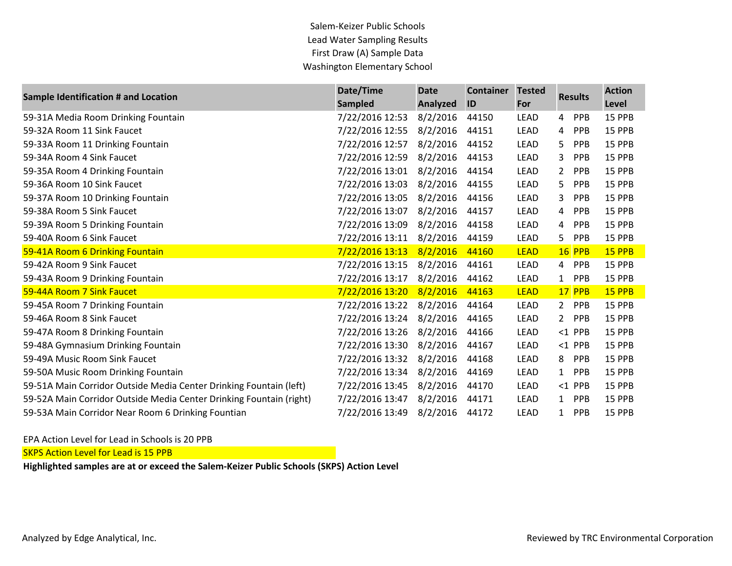Salem-Keizer Public Schools Lead Water Sampling Results First Draw (A) Sample Data Washington Elementary School

| Sample Identification # and Location                                | Date/Time       | <b>Date</b> | <b>Container</b> | <b>Tested</b> | <b>Results</b>               | <b>Action</b> |
|---------------------------------------------------------------------|-----------------|-------------|------------------|---------------|------------------------------|---------------|
|                                                                     | <b>Sampled</b>  | Analyzed    | ID               | For           |                              | Level         |
| 59-31A Media Room Drinking Fountain                                 | 7/22/2016 12:53 | 8/2/2016    | 44150            | LEAD          | <b>PPB</b><br>$\overline{4}$ | 15 PPB        |
| 59-32A Room 11 Sink Faucet                                          | 7/22/2016 12:55 | 8/2/2016    | 44151            | <b>LEAD</b>   | <b>PPB</b><br>$\overline{4}$ | 15 PPB        |
| 59-33A Room 11 Drinking Fountain                                    | 7/22/2016 12:57 | 8/2/2016    | 44152            | LEAD          | 5.<br>PPB                    | 15 PPB        |
| 59-34A Room 4 Sink Faucet                                           | 7/22/2016 12:59 | 8/2/2016    | 44153            | LEAD          | 3<br><b>PPB</b>              | 15 PPB        |
| 59-35A Room 4 Drinking Fountain                                     | 7/22/2016 13:01 | 8/2/2016    | 44154            | LEAD          | $2^{\circ}$<br><b>PPB</b>    | 15 PPB        |
| 59-36A Room 10 Sink Faucet                                          | 7/22/2016 13:03 | 8/2/2016    | 44155            | LEAD          | 5.<br><b>PPB</b>             | 15 PPB        |
| 59-37A Room 10 Drinking Fountain                                    | 7/22/2016 13:05 | 8/2/2016    | 44156            | LEAD          | 3<br><b>PPB</b>              | 15 PPB        |
| 59-38A Room 5 Sink Faucet                                           | 7/22/2016 13:07 | 8/2/2016    | 44157            | LEAD          | PPB<br>4                     | 15 PPB        |
| 59-39A Room 5 Drinking Fountain                                     | 7/22/2016 13:09 | 8/2/2016    | 44158            | LEAD          | PPB<br>$\overline{4}$        | 15 PPB        |
| 59-40A Room 6 Sink Faucet                                           | 7/22/2016 13:11 | 8/2/2016    | 44159            | LEAD          | 5<br>PPB                     | 15 PPB        |
| 59-41A Room 6 Drinking Fountain                                     | 7/22/2016 13:13 | 8/2/2016    | 44160            | <b>LEAD</b>   | <b>16 PPB</b>                | 15 PPB        |
| 59-42A Room 9 Sink Faucet                                           | 7/22/2016 13:15 | 8/2/2016    | 44161            | LEAD          | <b>PPB</b><br>4              | 15 PPB        |
| 59-43A Room 9 Drinking Fountain                                     | 7/22/2016 13:17 | 8/2/2016    | 44162            | LEAD          | <b>PPB</b><br>1              | 15 PPB        |
| 59-44A Room 7 Sink Faucet                                           | 7/22/2016 13:20 | 8/2/2016    | 44163            | <b>LEAD</b>   | 17 PPB                       | 15 PPB        |
| 59-45A Room 7 Drinking Fountain                                     | 7/22/2016 13:22 | 8/2/2016    | 44164            | LEAD          | $2^{\circ}$<br><b>PPB</b>    | 15 PPB        |
| 59-46A Room 8 Sink Faucet                                           | 7/22/2016 13:24 | 8/2/2016    | 44165            | LEAD          | PPB<br>$\mathbf{2}$          | 15 PPB        |
| 59-47A Room 8 Drinking Fountain                                     | 7/22/2016 13:26 | 8/2/2016    | 44166            | LEAD          | $<$ 1 PPB                    | 15 PPB        |
| 59-48A Gymnasium Drinking Fountain                                  | 7/22/2016 13:30 | 8/2/2016    | 44167            | LEAD          | $<$ 1 PPB                    | 15 PPB        |
| 59-49A Music Room Sink Faucet                                       | 7/22/2016 13:32 | 8/2/2016    | 44168            | LEAD          | <b>PPB</b><br>8              | 15 PPB        |
| 59-50A Music Room Drinking Fountain                                 | 7/22/2016 13:34 | 8/2/2016    | 44169            | LEAD          | PPB<br>$\mathbf{1}$          | 15 PPB        |
| 59-51A Main Corridor Outside Media Center Drinking Fountain (left)  | 7/22/2016 13:45 | 8/2/2016    | 44170            | LEAD          | $<$ 1 PPB                    | 15 PPB        |
| 59-52A Main Corridor Outside Media Center Drinking Fountain (right) | 7/22/2016 13:47 | 8/2/2016    | 44171            | LEAD          | $\mathbf{1}$<br><b>PPB</b>   | 15 PPB        |
| 59-53A Main Corridor Near Room 6 Drinking Fountian                  | 7/22/2016 13:49 | 8/2/2016    | 44172            | <b>LEAD</b>   | <b>PPB</b><br>$\mathbf{1}$   | 15 PPB        |

EPA Action Level for Lead in Schools is 20 PPB

**SKPS Action Level for Lead is 15 PPB** 

**Highlighted samples are at or exceed the Salem-Keizer Public Schools (SKPS) Action Level**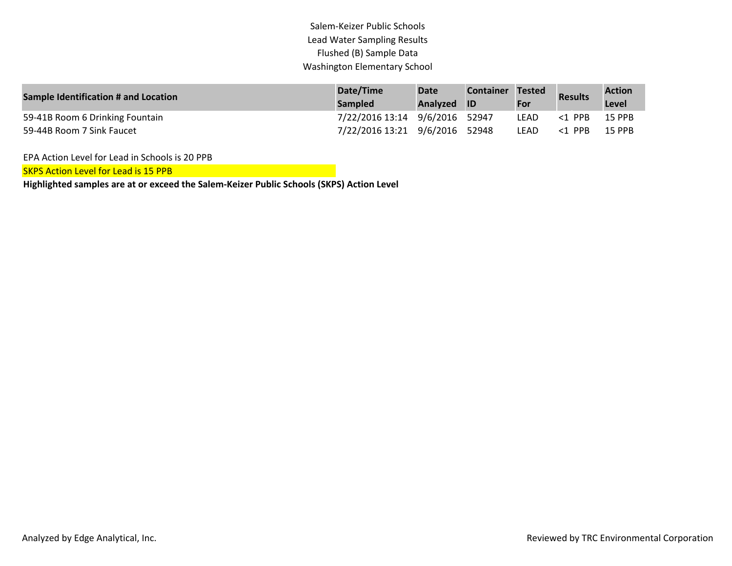## Salem-Keizer Public Schools Lead Water Sampling Results Flushed (B) Sample Data Washington Elementary School

| Sample Identification # and Location | Date/Time                      | <b>Date</b> | <b>Container Tested</b> |      | <b>Results</b> | <b>Action</b> |
|--------------------------------------|--------------------------------|-------------|-------------------------|------|----------------|---------------|
|                                      | <b>Sampled</b>                 | Analyzed ID |                         | For  |                | Level         |
| 59-41B Room 6 Drinking Fountain      | 7/22/2016 13:14 9/6/2016 52947 |             |                         | LEAD | <1 PPB         | 15 PPB        |
| 59-44B Room 7 Sink Faucet            | 7/22/2016 13:21 9/6/2016 52948 |             |                         | LEAD | <1 PPB         | <b>15 PPB</b> |

EPA Action Level for Lead in Schools is 20 PPB

SKPS Action Level for Lead is 15 PPB

**Highlighted samples are at or exceed the Salem-Keizer Public Schools (SKPS) Action Level**